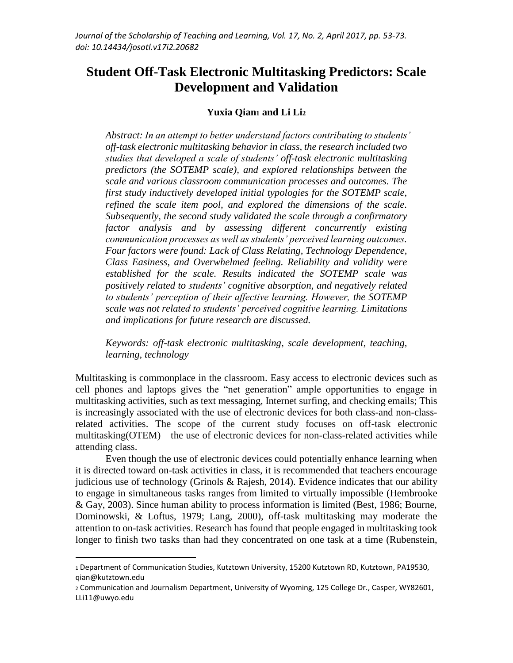# **Student Off-Task Electronic Multitasking Predictors: Scale Development and Validation**

## **Yuxia Qian<sup>1</sup> and Li Li<sup>2</sup>**

*Abstract: In an attempt to better understand factors contributing to students' off-task electronic multitasking behavior in class, the research included two studies that developed a scale of students' off-task electronic multitasking predictors (the SOTEMP scale), and explored relationships between the scale and various classroom communication processes and outcomes. The first study inductively developed initial typologies for the SOTEMP scale, refined the scale item pool, and explored the dimensions of the scale. Subsequently, the second study validated the scale through a confirmatory factor analysis and by assessing different concurrently existing communication processes as well as students' perceived learning outcomes. Four factors were found: Lack of Class Relating, Technology Dependence, Class Easiness, and Overwhelmed feeling. Reliability and validity were established for the scale. Results indicated the SOTEMP scale was positively related to students' cognitive absorption, and negatively related to students' perception of their affective learning. However, the SOTEMP scale was not related to students' perceived cognitive learning. Limitations and implications for future research are discussed.* 

*Keywords: off-task electronic multitasking, scale development, teaching, learning, technology*

Multitasking is commonplace in the classroom. Easy access to electronic devices such as cell phones and laptops gives the "net generation" ample opportunities to engage in multitasking activities, such as text messaging, Internet surfing, and checking emails; This is increasingly associated with the use of electronic devices for both class-and non-classrelated activities. The scope of the current study focuses on off-task electronic multitasking(OTEM)—the use of electronic devices for non-class-related activities while attending class.

Even though the use of electronic devices could potentially enhance learning when it is directed toward on-task activities in class, it is recommended that teachers encourage judicious use of technology (Grinols & Rajesh, 2014). Evidence indicates that our ability to engage in simultaneous tasks ranges from limited to virtually impossible (Hembrooke & Gay, 2003). Since human ability to process information is limited (Best, 1986; Bourne, Dominowski, & Loftus, 1979; Lang, 2000), off-task multitasking may moderate the attention to on-task activities. Research has found that people engaged in multitasking took longer to finish two tasks than had they concentrated on one task at a time (Rubenstein,

l

<sup>1</sup> Department of Communication Studies, Kutztown University, 15200 Kutztown RD, Kutztown, PA19530, qian@kutztown.edu

<sup>2</sup> Communication and Journalism Department, University of Wyoming, 125 College Dr., Casper, WY82601, LLi11@uwyo.edu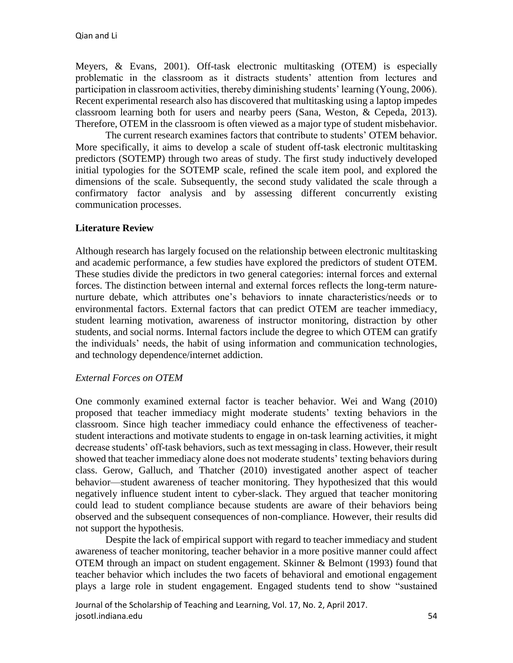Meyers, & Evans, 2001). Off-task electronic multitasking (OTEM) is especially problematic in the classroom as it distracts students' attention from lectures and participation in classroom activities, thereby diminishing students' learning (Young, 2006). Recent experimental research also has discovered that multitasking using a laptop impedes classroom learning both for users and nearby peers (Sana, Weston, & Cepeda, 2013). Therefore, OTEM in the classroom is often viewed as a major type of student misbehavior.

The current research examines factors that contribute to students' OTEM behavior. More specifically, it aims to develop a scale of student off-task electronic multitasking predictors (SOTEMP) through two areas of study. The first study inductively developed initial typologies for the SOTEMP scale, refined the scale item pool, and explored the dimensions of the scale. Subsequently, the second study validated the scale through a confirmatory factor analysis and by assessing different concurrently existing communication processes.

# **Literature Review**

Although research has largely focused on the relationship between electronic multitasking and academic performance, a few studies have explored the predictors of student OTEM. These studies divide the predictors in two general categories: internal forces and external forces. The distinction between internal and external forces reflects the long-term naturenurture debate, which attributes one's behaviors to innate characteristics/needs or to environmental factors. External factors that can predict OTEM are teacher immediacy, student learning motivation, awareness of instructor monitoring, distraction by other students, and social norms. Internal factors include the degree to which OTEM can gratify the individuals' needs, the habit of using information and communication technologies, and technology dependence/internet addiction.

#### *External Forces on OTEM*

One commonly examined external factor is teacher behavior. Wei and Wang (2010) proposed that teacher immediacy might moderate students' texting behaviors in the classroom. Since high teacher immediacy could enhance the effectiveness of teacherstudent interactions and motivate students to engage in on-task learning activities, it might decrease students' off-task behaviors, such as text messaging in class. However, their result showed that teacher immediacy alone does not moderate students' texting behaviors during class. Gerow, Galluch, and Thatcher (2010) investigated another aspect of teacher behavior—student awareness of teacher monitoring. They hypothesized that this would negatively influence student intent to cyber-slack. They argued that teacher monitoring could lead to student compliance because students are aware of their behaviors being observed and the subsequent consequences of non-compliance. However, their results did not support the hypothesis.

Despite the lack of empirical support with regard to teacher immediacy and student awareness of teacher monitoring, teacher behavior in a more positive manner could affect OTEM through an impact on student engagement. Skinner & Belmont (1993) found that teacher behavior which includes the two facets of behavioral and emotional engagement plays a large role in student engagement. Engaged students tend to show "sustained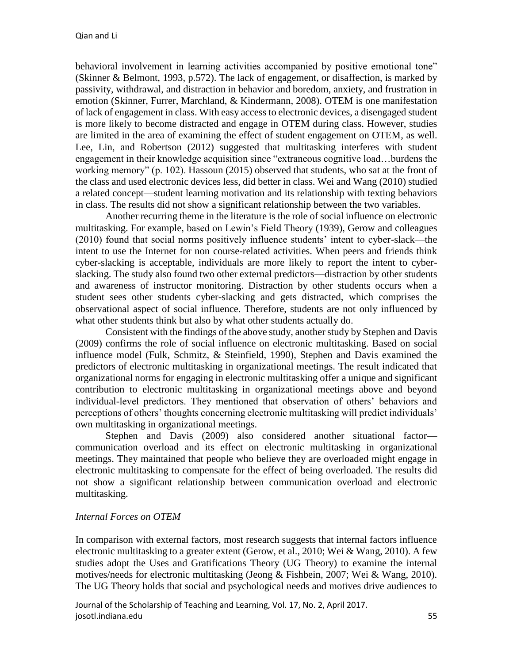behavioral involvement in learning activities accompanied by positive emotional tone" (Skinner & Belmont, 1993, p.572). The lack of engagement, or disaffection, is marked by passivity, withdrawal, and distraction in behavior and boredom, anxiety, and frustration in emotion (Skinner, Furrer, Marchland, & Kindermann, 2008). OTEM is one manifestation of lack of engagement in class. With easy access to electronic devices, a disengaged student is more likely to become distracted and engage in OTEM during class. However, studies are limited in the area of examining the effect of student engagement on OTEM, as well. Lee, Lin, and Robertson (2012) suggested that multitasking interferes with student engagement in their knowledge acquisition since "extraneous cognitive load…burdens the working memory" (p. 102). Hassoun (2015) observed that students, who sat at the front of the class and used electronic devices less, did better in class. Wei and Wang (2010) studied a related concept—student learning motivation and its relationship with texting behaviors in class. The results did not show a significant relationship between the two variables.

Another recurring theme in the literature is the role of social influence on electronic multitasking. For example, based on Lewin's Field Theory (1939), Gerow and colleagues (2010) found that social norms positively influence students' intent to cyber-slack—the intent to use the Internet for non course-related activities. When peers and friends think cyber-slacking is acceptable, individuals are more likely to report the intent to cyberslacking. The study also found two other external predictors—distraction by other students and awareness of instructor monitoring. Distraction by other students occurs when a student sees other students cyber-slacking and gets distracted, which comprises the observational aspect of social influence. Therefore, students are not only influenced by what other students think but also by what other students actually do.

Consistent with the findings of the above study, another study by Stephen and Davis (2009) confirms the role of social influence on electronic multitasking. Based on social influence model (Fulk, Schmitz, & Steinfield, 1990), Stephen and Davis examined the predictors of electronic multitasking in organizational meetings. The result indicated that organizational norms for engaging in electronic multitasking offer a unique and significant contribution to electronic multitasking in organizational meetings above and beyond individual-level predictors. They mentioned that observation of others' behaviors and perceptions of others' thoughts concerning electronic multitasking will predict individuals' own multitasking in organizational meetings.

Stephen and Davis (2009) also considered another situational factor communication overload and its effect on electronic multitasking in organizational meetings. They maintained that people who believe they are overloaded might engage in electronic multitasking to compensate for the effect of being overloaded. The results did not show a significant relationship between communication overload and electronic multitasking.

# *Internal Forces on OTEM*

In comparison with external factors, most research suggests that internal factors influence electronic multitasking to a greater extent (Gerow, et al., 2010; Wei & Wang, 2010). A few studies adopt the Uses and Gratifications Theory (UG Theory) to examine the internal motives/needs for electronic multitasking (Jeong & Fishbein, 2007; Wei & Wang, 2010). The UG Theory holds that social and psychological needs and motives drive audiences to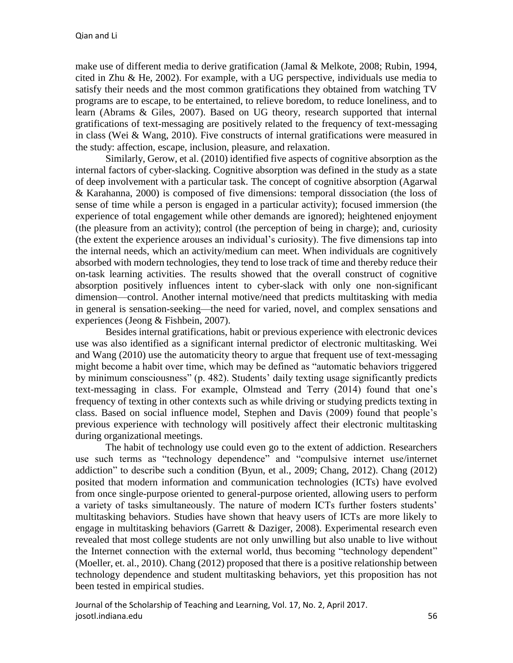make use of different media to derive gratification (Jamal & Melkote, 2008; Rubin, 1994, cited in Zhu & He, 2002). For example, with a UG perspective, individuals use media to satisfy their needs and the most common gratifications they obtained from watching TV programs are to escape, to be entertained, to relieve boredom, to reduce loneliness, and to learn (Abrams & Giles, 2007). Based on UG theory, research supported that internal gratifications of text-messaging are positively related to the frequency of text-messaging in class (Wei & Wang, 2010). Five constructs of internal gratifications were measured in the study: affection, escape, inclusion, pleasure, and relaxation.

Similarly, Gerow, et al. (2010) identified five aspects of cognitive absorption as the internal factors of cyber-slacking. Cognitive absorption was defined in the study as a state of deep involvement with a particular task. The concept of cognitive absorption (Agarwal & Karahanna, 2000) is composed of five dimensions: temporal dissociation (the loss of sense of time while a person is engaged in a particular activity); focused immersion (the experience of total engagement while other demands are ignored); heightened enjoyment (the pleasure from an activity); control (the perception of being in charge); and, curiosity (the extent the experience arouses an individual's curiosity). The five dimensions tap into the internal needs, which an activity/medium can meet. When individuals are cognitively absorbed with modern technologies, they tend to lose track of time and thereby reduce their on-task learning activities. The results showed that the overall construct of cognitive absorption positively influences intent to cyber-slack with only one non-significant dimension—control. Another internal motive/need that predicts multitasking with media in general is sensation-seeking—the need for varied, novel, and complex sensations and experiences (Jeong & Fishbein, 2007).

Besides internal gratifications, habit or previous experience with electronic devices use was also identified as a significant internal predictor of electronic multitasking. Wei and Wang (2010) use the automaticity theory to argue that frequent use of text-messaging might become a habit over time, which may be defined as "automatic behaviors triggered by minimum consciousness" (p. 482). Students' daily texting usage significantly predicts text-messaging in class. For example, Olmstead and Terry (2014) found that one's frequency of texting in other contexts such as while driving or studying predicts texting in class. Based on social influence model, Stephen and Davis (2009) found that people's previous experience with technology will positively affect their electronic multitasking during organizational meetings.

The habit of technology use could even go to the extent of addiction. Researchers use such terms as "technology dependence" and "compulsive internet use/internet addiction" to describe such a condition (Byun, et al., 2009; Chang, 2012). Chang (2012) posited that modern information and communication technologies (ICTs) have evolved from once single-purpose oriented to general-purpose oriented, allowing users to perform a variety of tasks simultaneously. The nature of modern ICTs further fosters students' multitasking behaviors. Studies have shown that heavy users of ICTs are more likely to engage in multitasking behaviors (Garrett & Daziger, 2008). Experimental research even revealed that most college students are not only unwilling but also unable to live without the Internet connection with the external world, thus becoming "technology dependent" (Moeller, et. al., 2010). Chang (2012) proposed that there is a positive relationship between technology dependence and student multitasking behaviors, yet this proposition has not been tested in empirical studies.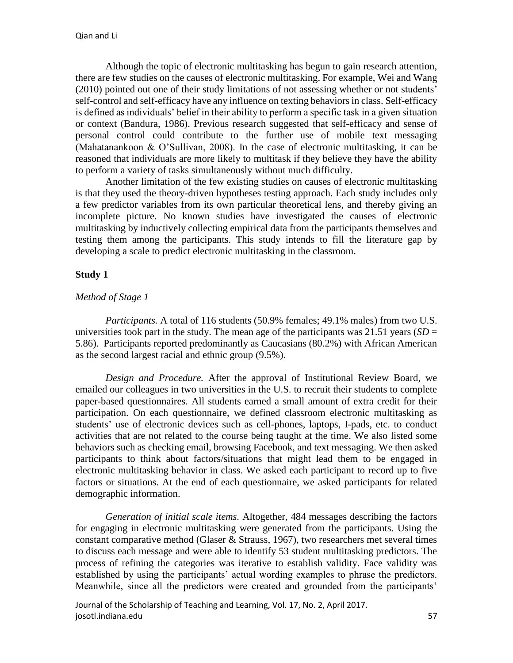Although the topic of electronic multitasking has begun to gain research attention, there are few studies on the causes of electronic multitasking. For example, Wei and Wang (2010) pointed out one of their study limitations of not assessing whether or not students' self-control and self-efficacy have any influence on texting behaviors in class. Self-efficacy is defined as individuals' belief in their ability to perform a specific task in a given situation or context (Bandura, 1986). Previous research suggested that self-efficacy and sense of personal control could contribute to the further use of mobile text messaging (Mahatanankoon & O'Sullivan, 2008). In the case of electronic multitasking, it can be reasoned that individuals are more likely to multitask if they believe they have the ability to perform a variety of tasks simultaneously without much difficulty.

Another limitation of the few existing studies on causes of electronic multitasking is that they used the theory-driven hypotheses testing approach. Each study includes only a few predictor variables from its own particular theoretical lens, and thereby giving an incomplete picture. No known studies have investigated the causes of electronic multitasking by inductively collecting empirical data from the participants themselves and testing them among the participants. This study intends to fill the literature gap by developing a scale to predict electronic multitasking in the classroom.

# **Study 1**

## *Method of Stage 1*

*Participants.* A total of 116 students (50.9% females; 49.1% males) from two U.S. universities took part in the study. The mean age of the participants was  $21.51$  years (*SD* = 5.86). Participants reported predominantly as Caucasians (80.2%) with African American as the second largest racial and ethnic group (9.5%).

*Design and Procedure.* After the approval of Institutional Review Board, we emailed our colleagues in two universities in the U.S. to recruit their students to complete paper-based questionnaires. All students earned a small amount of extra credit for their participation. On each questionnaire, we defined classroom electronic multitasking as students' use of electronic devices such as cell-phones, laptops, I-pads, etc. to conduct activities that are not related to the course being taught at the time. We also listed some behaviors such as checking email, browsing Facebook, and text messaging. We then asked participants to think about factors/situations that might lead them to be engaged in electronic multitasking behavior in class. We asked each participant to record up to five factors or situations. At the end of each questionnaire, we asked participants for related demographic information.

*Generation of initial scale items.* Altogether, 484 messages describing the factors for engaging in electronic multitasking were generated from the participants. Using the constant comparative method (Glaser & Strauss, 1967), two researchers met several times to discuss each message and were able to identify 53 student multitasking predictors. The process of refining the categories was iterative to establish validity. Face validity was established by using the participants' actual wording examples to phrase the predictors. Meanwhile, since all the predictors were created and grounded from the participants'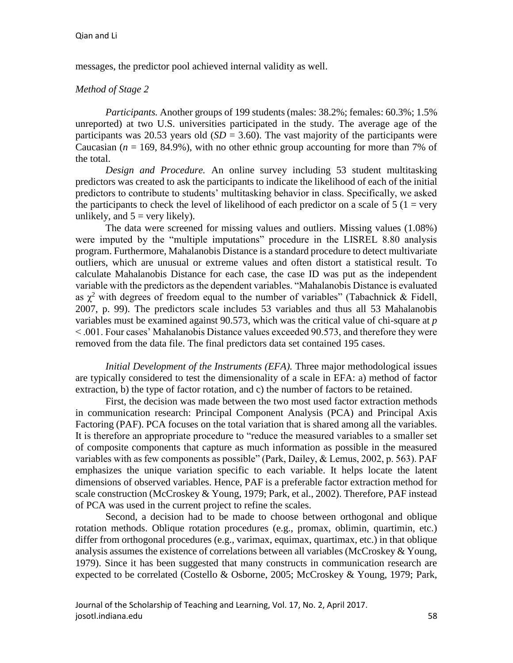messages, the predictor pool achieved internal validity as well.

#### *Method of Stage 2*

*Participants.* Another groups of 199 students (males: 38.2%; females: 60.3%; 1.5% unreported) at two U.S. universities participated in the study. The average age of the participants was 20.53 years old  $(SD = 3.60)$ . The vast majority of the participants were Caucasian  $(n = 169, 84.9\%)$ , with no other ethnic group accounting for more than 7% of the total.

*Design and Procedure.* An online survey including 53 student multitasking predictors was created to ask the participants to indicate the likelihood of each of the initial predictors to contribute to students' multitasking behavior in class. Specifically, we asked the participants to check the level of likelihood of each predictor on a scale of  $5(1 = \text{very}$ unlikely, and  $5 = \text{very likely}$ .

The data were screened for missing values and outliers. Missing values (1.08%) were imputed by the "multiple imputations" procedure in the LISREL 8.80 analysis program. Furthermore, Mahalanobis Distance is a standard procedure to detect multivariate outliers, which are unusual or extreme values and often distort a statistical result. To calculate Mahalanobis Distance for each case, the case ID was put as the independent variable with the predictors as the dependent variables. "Mahalanobis Distance is evaluated as  $\chi^2$  with degrees of freedom equal to the number of variables" (Tabachnick & Fidell, 2007, p. 99). The predictors scale includes 53 variables and thus all 53 Mahalanobis variables must be examined against 90.573, which was the critical value of chi-square at *p* < .001. Four cases' Mahalanobis Distance values exceeded 90.573, and therefore they were removed from the data file. The final predictors data set contained 195 cases.

*Initial Development of the Instruments (EFA).* Three major methodological issues are typically considered to test the dimensionality of a scale in EFA: a) method of factor extraction, b) the type of factor rotation, and c) the number of factors to be retained.

First, the decision was made between the two most used factor extraction methods in communication research: Principal Component Analysis (PCA) and Principal Axis Factoring (PAF). PCA focuses on the total variation that is shared among all the variables. It is therefore an appropriate procedure to "reduce the measured variables to a smaller set of composite components that capture as much information as possible in the measured variables with as few components as possible" (Park, Dailey, & Lemus, 2002, p. 563). PAF emphasizes the unique variation specific to each variable. It helps locate the latent dimensions of observed variables. Hence, PAF is a preferable factor extraction method for scale construction (McCroskey & Young, 1979; Park, et al., 2002). Therefore, PAF instead of PCA was used in the current project to refine the scales.

Second, a decision had to be made to choose between orthogonal and oblique rotation methods. Oblique rotation procedures (e.g., promax, oblimin, quartimin, etc.) differ from orthogonal procedures (e.g., varimax, equimax, quartimax, etc.) in that oblique analysis assumes the existence of correlations between all variables (McCroskey & Young, 1979). Since it has been suggested that many constructs in communication research are expected to be correlated (Costello & Osborne, 2005; McCroskey & Young, 1979; Park,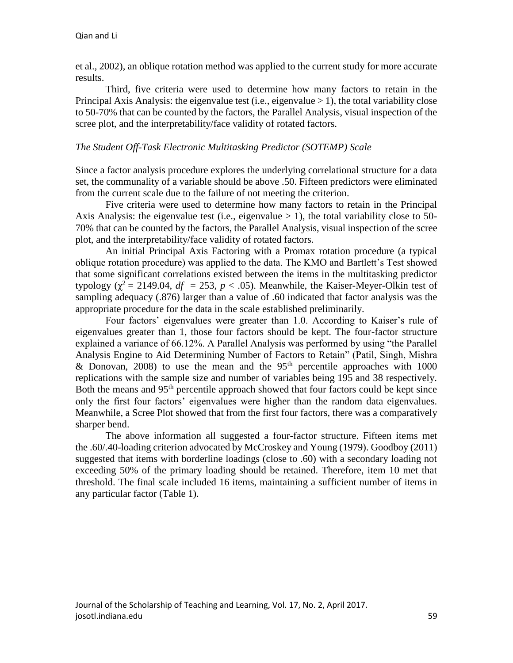et al., 2002), an oblique rotation method was applied to the current study for more accurate results.

Third, five criteria were used to determine how many factors to retain in the Principal Axis Analysis: the eigenvalue test (i.e., eigenvalue  $> 1$ ), the total variability close to 50-70% that can be counted by the factors, the Parallel Analysis, visual inspection of the scree plot, and the interpretability/face validity of rotated factors.

#### *The Student Off-Task Electronic Multitasking Predictor (SOTEMP) Scale*

Since a factor analysis procedure explores the underlying correlational structure for a data set, the communality of a variable should be above .50. Fifteen predictors were eliminated from the current scale due to the failure of not meeting the criterion.

Five criteria were used to determine how many factors to retain in the Principal Axis Analysis: the eigenvalue test (i.e., eigenvalue  $> 1$ ), the total variability close to 50-70% that can be counted by the factors, the Parallel Analysis, visual inspection of the scree plot, and the interpretability/face validity of rotated factors.

An initial Principal Axis Factoring with a Promax rotation procedure (a typical oblique rotation procedure) was applied to the data. The KMO and Bartlett's Test showed that some significant correlations existed between the items in the multitasking predictor typology ( $\chi^2$  = 2149.04,  $df$  = 253,  $p$  < .05). Meanwhile, the Kaiser-Meyer-Olkin test of sampling adequacy (.876) larger than a value of .60 indicated that factor analysis was the appropriate procedure for the data in the scale established preliminarily.

Four factors' eigenvalues were greater than 1.0. According to Kaiser's rule of eigenvalues greater than 1, those four factors should be kept. The four-factor structure explained a variance of 66.12%. A Parallel Analysis was performed by using "the Parallel Analysis Engine to Aid Determining Number of Factors to Retain" (Patil, Singh, Mishra & Donovan, 2008) to use the mean and the  $95<sup>th</sup>$  percentile approaches with 1000 replications with the sample size and number of variables being 195 and 38 respectively. Both the means and 95<sup>th</sup> percentile approach showed that four factors could be kept since only the first four factors' eigenvalues were higher than the random data eigenvalues. Meanwhile, a Scree Plot showed that from the first four factors, there was a comparatively sharper bend.

The above information all suggested a four-factor structure. Fifteen items met the .60/.40-loading criterion advocated by McCroskey and Young (1979). Goodboy (2011) suggested that items with borderline loadings (close to .60) with a secondary loading not exceeding 50% of the primary loading should be retained. Therefore, item 10 met that threshold. The final scale included 16 items, maintaining a sufficient number of items in any particular factor (Table 1).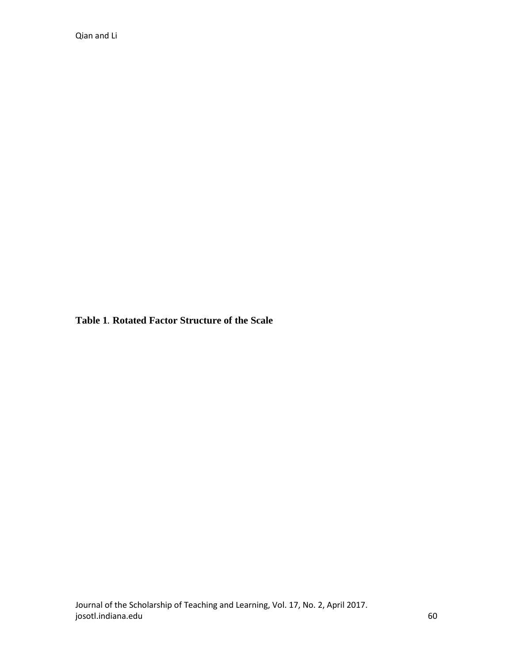Qian and Li

**Table 1***.* **Rotated Factor Structure of the Scale**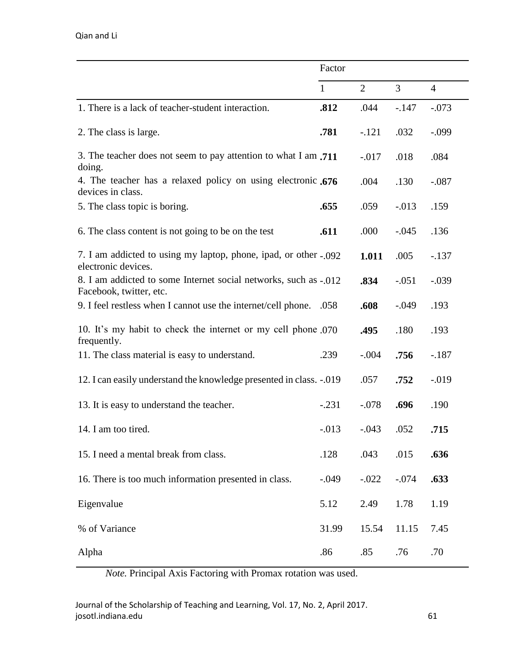|                                                                                             | Factor       |                |                |                |
|---------------------------------------------------------------------------------------------|--------------|----------------|----------------|----------------|
|                                                                                             | $\mathbf{1}$ | $\overline{2}$ | $\overline{3}$ | $\overline{4}$ |
| 1. There is a lack of teacher-student interaction.                                          | .812         | .044           | $-.147$        | $-.073$        |
| 2. The class is large.                                                                      | .781         | $-.121$        | .032           | $-.099$        |
| 3. The teacher does not seem to pay attention to what I am .711<br>doing.                   |              | $-0.017$       | .018           | .084           |
| 4. The teacher has a relaxed policy on using electronic .676<br>devices in class.           |              | .004           | .130           | $-.087$        |
| 5. The class topic is boring.                                                               | .655         | .059           | $-0.013$       | .159           |
| 6. The class content is not going to be on the test                                         | .611         | .000           | $-.045$        | .136           |
| 7. I am addicted to using my laptop, phone, ipad, or other - 092<br>electronic devices.     |              | 1.011          | .005           | $-.137$        |
| 8. I am addicted to some Internet social networks, such as -.012<br>Facebook, twitter, etc. |              | .834           | $-.051$        | $-.039$        |
| 9. I feel restless when I cannot use the internet/cell phone.                               | .058         | .608           | $-.049$        | .193           |
| 10. It's my habit to check the internet or my cell phone 070<br>frequently.                 |              | .495           | .180           | .193           |
| 11. The class material is easy to understand.                                               | .239         | $-.004$        | .756           | $-.187$        |
| 12. I can easily understand the knowledge presented in class. -. 019                        |              | .057           | .752           | $-0.019$       |
| 13. It is easy to understand the teacher.                                                   | $-.231$      | $-.078$        | .696           | .190           |
| 14. I am too tired.                                                                         | $-0.013$     | $-.043$        | .052           | .715           |
| 15. I need a mental break from class.                                                       | .128         | .043           | .015           | .636           |
| 16. There is too much information presented in class.                                       | $-0.049$     | $-.022$        | $-.074$        | .633           |
| Eigenvalue                                                                                  | 5.12         | 2.49           | 1.78           | 1.19           |
| % of Variance                                                                               | 31.99        | 15.54          | 11.15          | 7.45           |
| Alpha                                                                                       | .86          | .85            | .76            | .70            |

*Note.* Principal Axis Factoring with Promax rotation was used.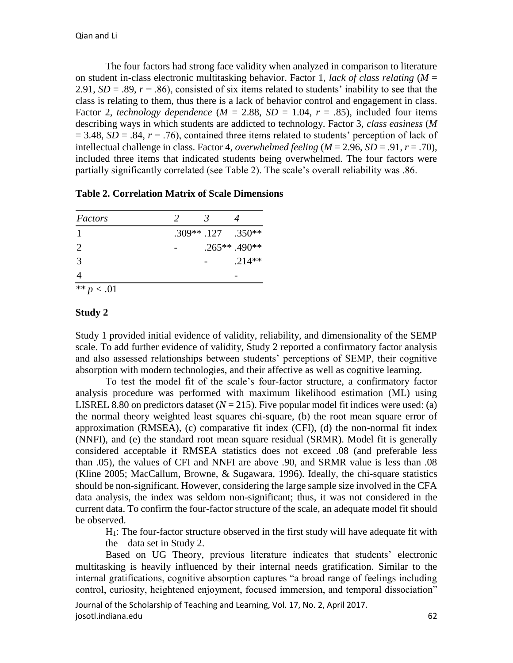The four factors had strong face validity when analyzed in comparison to literature on student in-class electronic multitasking behavior. Factor 1, *lack of class relating* (*M* = 2.91,  $SD = .89$ ,  $r = .86$ ), consisted of six items related to students' inability to see that the class is relating to them, thus there is a lack of behavior control and engagement in class. Factor 2, *technology dependence* ( $M = 2.88$ ,  $SD = 1.04$ ,  $r = .85$ ), included four items describing ways in which students are addicted to technology. Factor 3, *class easiness* (*M*  $= 3.48$ , *SD* = .84, *r* = .76), contained three items related to students' perception of lack of intellectual challenge in class. Factor 4, *overwhelmed feeling* (*M* = 2.96, *SD* = .91, *r* = .70), included three items that indicated students being overwhelmed. The four factors were partially significantly correlated (see Table 2). The scale's overall reliability was .86.

| Factors      | $\mathcal{L}$ |                      |                |
|--------------|---------------|----------------------|----------------|
|              |               | $.309**$ .127 .350** |                |
| 2            |               |                      | $.265**.490**$ |
| 3            |               |                      | $.214**$       |
|              |               |                      |                |
| ** $p < .01$ |               |                      |                |

## **Study 2**

Study 1 provided initial evidence of validity, reliability, and dimensionality of the SEMP scale. To add further evidence of validity, Study 2 reported a confirmatory factor analysis and also assessed relationships between students' perceptions of SEMP, their cognitive absorption with modern technologies, and their affective as well as cognitive learning.

To test the model fit of the scale's four-factor structure, a confirmatory factor analysis procedure was performed with maximum likelihood estimation (ML) using LISREL 8.80 on predictors dataset  $(N = 215)$ . Five popular model fit indices were used: (a) the normal theory weighted least squares chi-square, (b) the root mean square error of approximation (RMSEA), (c) comparative fit index (CFI), (d) the non-normal fit index (NNFI), and (e) the standard root mean square residual (SRMR). Model fit is generally considered acceptable if RMSEA statistics does not exceed .08 (and preferable less than .05), the values of CFI and NNFI are above .90, and SRMR value is less than .08 (Kline 2005; MacCallum, Browne, & Sugawara, 1996). Ideally, the chi-square statistics should be non-significant. However, considering the large sample size involved in the CFA data analysis, the index was seldom non-significant; thus, it was not considered in the current data. To confirm the four-factor structure of the scale, an adequate model fit should be observed.

H1: The four-factor structure observed in the first study will have adequate fit with the data set in Study 2.

Based on UG Theory, previous literature indicates that students' electronic multitasking is heavily influenced by their internal needs gratification. Similar to the internal gratifications, cognitive absorption captures "a broad range of feelings including control, curiosity, heightened enjoyment, focused immersion, and temporal dissociation"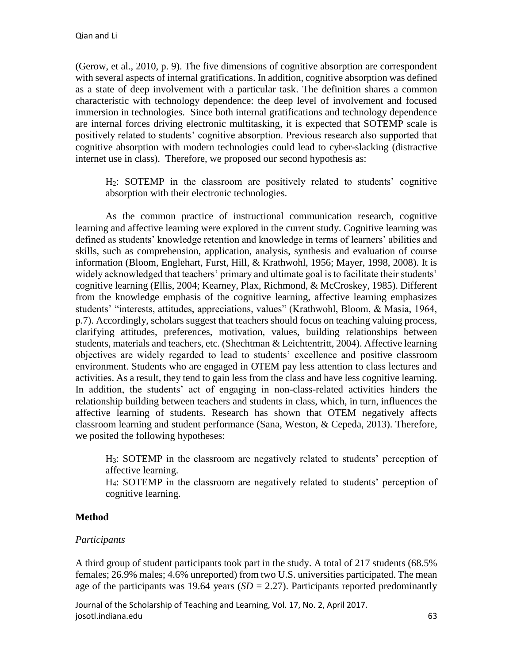(Gerow, et al., 2010, p. 9). The five dimensions of cognitive absorption are correspondent with several aspects of internal gratifications. In addition, cognitive absorption was defined as a state of deep involvement with a particular task. The definition shares a common characteristic with technology dependence: the deep level of involvement and focused immersion in technologies. Since both internal gratifications and technology dependence are internal forces driving electronic multitasking, it is expected that SOTEMP scale is positively related to students' cognitive absorption. Previous research also supported that cognitive absorption with modern technologies could lead to cyber-slacking (distractive internet use in class). Therefore, we proposed our second hypothesis as:

H2: SOTEMP in the classroom are positively related to students' cognitive absorption with their electronic technologies.

As the common practice of instructional communication research, cognitive learning and affective learning were explored in the current study. Cognitive learning was defined as students' knowledge retention and knowledge in terms of learners' abilities and skills, such as comprehension, application, analysis, synthesis and evaluation of course information (Bloom, Englehart, Furst, Hill, & Krathwohl, 1956; Mayer, 1998, 2008). It is widely acknowledged that teachers' primary and ultimate goal is to facilitate their students' cognitive learning (Ellis, 2004; Kearney, Plax, Richmond, & McCroskey, 1985). Different from the knowledge emphasis of the cognitive learning, affective learning emphasizes students' "interests, attitudes, appreciations, values" (Krathwohl, Bloom, & Masia, 1964, p.7). Accordingly, scholars suggest that teachers should focus on teaching valuing process, clarifying attitudes, preferences, motivation, values, building relationships between students, materials and teachers, etc. (Shechtman & Leichtentritt, 2004). Affective learning objectives are widely regarded to lead to students' excellence and positive classroom environment. Students who are engaged in OTEM pay less attention to class lectures and activities. As a result, they tend to gain less from the class and have less cognitive learning. In addition, the students' act of engaging in non-class-related activities hinders the relationship building between teachers and students in class, which, in turn, influences the affective learning of students. Research has shown that OTEM negatively affects classroom learning and student performance (Sana, Weston, & Cepeda, 2013). Therefore, we posited the following hypotheses:

H3: SOTEMP in the classroom are negatively related to students' perception of affective learning.

H4: SOTEMP in the classroom are negatively related to students' perception of cognitive learning.

# **Method**

#### *Participants*

A third group of student participants took part in the study. A total of 217 students (68.5% females; 26.9% males; 4.6% unreported) from two U.S. universities participated. The mean age of the participants was 19.64 years  $(SD = 2.27)$ . Participants reported predominantly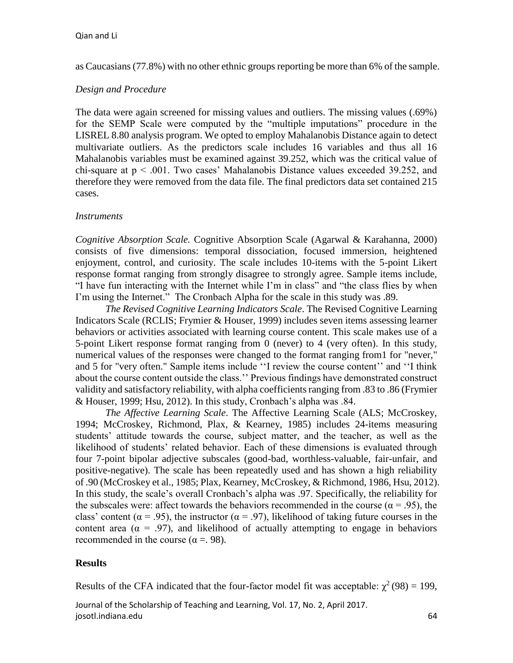as Caucasians (77.8%) with no other ethnic groups reporting be more than 6% of the sample.

## *Design and Procedure*

The data were again screened for missing values and outliers. The missing values (.69%) for the SEMP Scale were computed by the "multiple imputations" procedure in the LISREL 8.80 analysis program. We opted to employ Mahalanobis Distance again to detect multivariate outliers. As the predictors scale includes 16 variables and thus all 16 Mahalanobis variables must be examined against 39.252, which was the critical value of chi-square at  $p < .001$ . Two cases' Mahalanobis Distance values exceeded 39.252, and therefore they were removed from the data file. The final predictors data set contained 215 cases.

## *Instruments*

*Cognitive Absorption Scale.* Cognitive Absorption Scale (Agarwal & Karahanna, 2000) consists of five dimensions: temporal dissociation, focused immersion, heightened enjoyment, control, and curiosity. The scale includes 10-items with the 5-point Likert response format ranging from strongly disagree to strongly agree. Sample items include, "I have fun interacting with the Internet while I'm in class" and "the class flies by when I'm using the Internet." The Cronbach Alpha for the scale in this study was .89.

*The Revised Cognitive Learning Indicators Scale*. The Revised Cognitive Learning Indicators Scale (RCLIS; Frymier & Houser, 1999) includes seven items assessing learner behaviors or activities associated with learning course content. This scale makes use of a 5-point Likert response format ranging from 0 (never) to 4 (very often). In this study, numerical values of the responses were changed to the format ranging from1 for "never," and 5 for "very often." Sample items include ''I review the course content'' and ''I think about the course content outside the class.'' Previous findings have demonstrated construct validity and satisfactory reliability, with alpha coefficients ranging from .83 to .86 (Frymier & Houser, 1999; Hsu, 2012). In this study, Cronbach's alpha was .84.

*The Affective Learning Scale*. The Affective Learning Scale (ALS; McCroskey, 1994; McCroskey, Richmond, Plax, & Kearney, 1985) includes 24-items measuring students' attitude towards the course, subject matter, and the teacher, as well as the likelihood of students' related behavior. Each of these dimensions is evaluated through four 7-point bipolar adjective subscales (good-bad, worthless-valuable, fair-unfair, and positive-negative). The scale has been repeatedly used and has shown a high reliability of .90 (McCroskey et al., 1985; Plax, Kearney, McCroskey, & Richmond, 1986, Hsu, 2012). In this study, the scale's overall Cronbach's alpha was .97. Specifically, the reliability for the subscales were: affect towards the behaviors recommended in the course ( $\alpha$  = .95), the class' content ( $\alpha$  = .95), the instructor ( $\alpha$  = .97), likelihood of taking future courses in the content area ( $\alpha$  = .97), and likelihood of actually attempting to engage in behaviors recommended in the course ( $\alpha$  = 0.98).

# **Results**

Results of the CFA indicated that the four-factor model fit was acceptable:  $\chi^2(98) = 199$ ,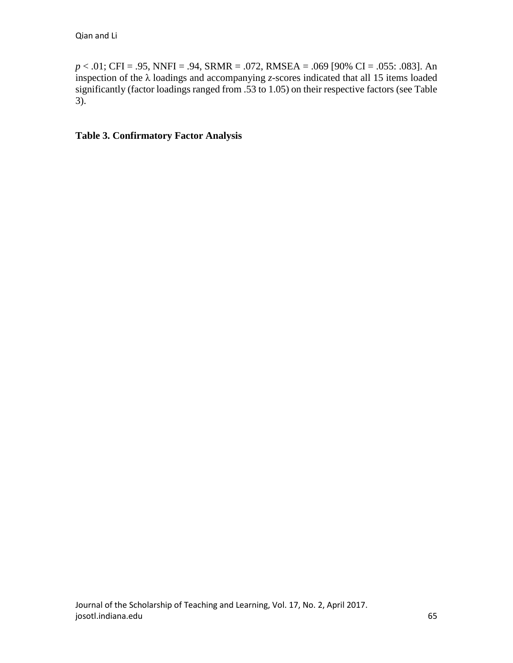*p* < .01; CFI = .95, NNFI = .94, SRMR = .072, RMSEA = .069 [90% CI = .055: .083]. An inspection of the  $\lambda$  loadings and accompanying *z*-scores indicated that all 15 items loaded significantly (factor loadings ranged from .53 to 1.05) on their respective factors (see Table 3).

# **Table 3. Confirmatory Factor Analysis**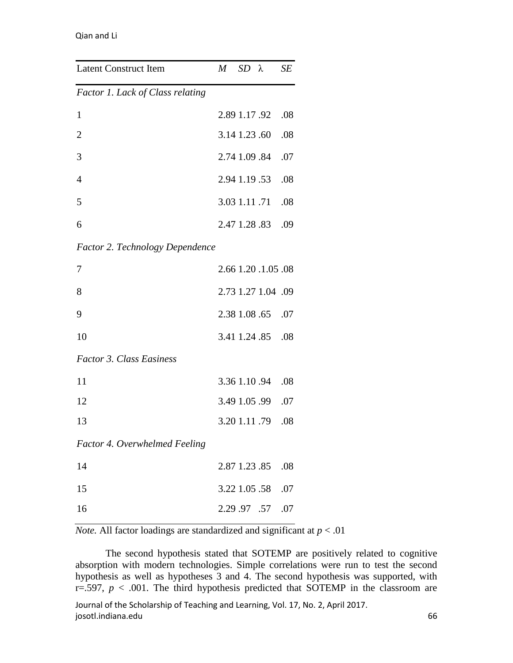| <b>Latent Construct Item</b>     | $M$ SD $\lambda$ |                     | SE  |
|----------------------------------|------------------|---------------------|-----|
| Factor 1. Lack of Class relating |                  |                     |     |
| $\mathbf{1}$                     |                  | 2.89 1.17 .92       | .08 |
| $\overline{c}$                   | 3.14 1.23 .60    |                     | .08 |
| 3                                | 2.74 1.09 .84    |                     | .07 |
| 4                                |                  | 2.94 1.19 .53       | .08 |
| 5                                | 3.03 1.11 .71    |                     | .08 |
| 6                                |                  | 2.47 1.28 .83       | .09 |
| Factor 2. Technology Dependence  |                  |                     |     |
| 7                                |                  | 2.66 1.20 .1.05 .08 |     |
| 8                                |                  | 2.73 1.27 1.04 .09  |     |
| 9                                |                  | 2.38 1.08 .65       | .07 |
| 10                               |                  | 3.41 1.24 .85       | .08 |
| <b>Factor 3. Class Easiness</b>  |                  |                     |     |
| 11                               |                  | 3.36 1.10 .94       | .08 |
| 12                               |                  | 3.49 1.05 .99       | .07 |
| 13                               |                  | 3.20 1.11 .79       | .08 |
| Factor 4. Overwhelmed Feeling    |                  |                     |     |
| 14                               |                  | 2.87 1.23 .85       | .08 |
| 15                               | 3.22 1.05 .58    |                     | .07 |
| 16                               | 2.29.97.57       |                     | .07 |

*Note.* All factor loadings are standardized and significant at  $p < .01$ 

Journal of the Scholarship of Teaching and Learning, Vol. 17, No. 2, April 2017. josotl.indiana.edu 66 The second hypothesis stated that SOTEMP are positively related to cognitive absorption with modern technologies. Simple correlations were run to test the second hypothesis as well as hypotheses 3 and 4. The second hypothesis was supported, with  $r=597$ ,  $p < .001$ . The third hypothesis predicted that SOTEMP in the classroom are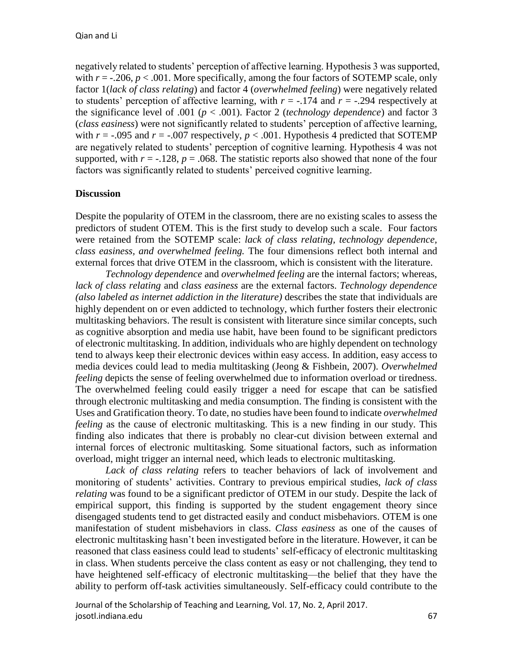negatively related to students' perception of affective learning. Hypothesis 3 was supported, with  $r = -0.206$ ,  $p < 0.001$ . More specifically, among the four factors of SOTEMP scale, only factor 1(*lack of class relating*) and factor 4 (*overwhelmed feeling*) were negatively related to students' perception of affective learning, with  $r = -174$  and  $r = -1294$  respectively at the significance level of .001 (*p* < .001). Factor 2 (*technology dependence*) and factor 3 (*class easiness*) were not significantly related to students' perception of affective learning, with  $r = -0.095$  and  $r = -0.007$  respectively,  $p < 0.001$ . Hypothesis 4 predicted that SOTEMP are negatively related to students' perception of cognitive learning. Hypothesis 4 was not supported, with  $r = -0.128$ ,  $p = 0.068$ . The statistic reports also showed that none of the four factors was significantly related to students' perceived cognitive learning.

# **Discussion**

Despite the popularity of OTEM in the classroom, there are no existing scales to assess the predictors of student OTEM. This is the first study to develop such a scale. Four factors were retained from the SOTEMP scale: *lack of class relating, technology dependence, class easiness, and overwhelmed feeling.* The four dimensions reflect both internal and external forces that drive OTEM in the classroom, which is consistent with the literature.

*Technology dependence* and *overwhelmed feeling* are the internal factors; whereas, *lack of class relating* and *class easiness* are the external factors. *Technology dependence (also labeled as internet addiction in the literature)* describes the state that individuals are highly dependent on or even addicted to technology, which further fosters their electronic multitasking behaviors. The result is consistent with literature since similar concepts, such as cognitive absorption and media use habit, have been found to be significant predictors of electronic multitasking. In addition, individuals who are highly dependent on technology tend to always keep their electronic devices within easy access. In addition, easy access to media devices could lead to media multitasking (Jeong & Fishbein, 2007). *Overwhelmed feeling* depicts the sense of feeling overwhelmed due to information overload or tiredness. The overwhelmed feeling could easily trigger a need for escape that can be satisfied through electronic multitasking and media consumption. The finding is consistent with the Uses and Gratification theory. To date, no studies have been found to indicate *overwhelmed feeling* as the cause of electronic multitasking. This is a new finding in our study. This finding also indicates that there is probably no clear-cut division between external and internal forces of electronic multitasking. Some situational factors, such as information overload, might trigger an internal need, which leads to electronic multitasking.

*Lack of class relating* refers to teacher behaviors of lack of involvement and monitoring of students' activities. Contrary to previous empirical studies, *lack of class relating* was found to be a significant predictor of OTEM in our study. Despite the lack of empirical support, this finding is supported by the student engagement theory since disengaged students tend to get distracted easily and conduct misbehaviors. OTEM is one manifestation of student misbehaviors in class. *Class easiness* as one of the causes of electronic multitasking hasn't been investigated before in the literature. However, it can be reasoned that class easiness could lead to students' self-efficacy of electronic multitasking in class. When students perceive the class content as easy or not challenging, they tend to have heightened self-efficacy of electronic multitasking—the belief that they have the ability to perform off-task activities simultaneously. Self-efficacy could contribute to the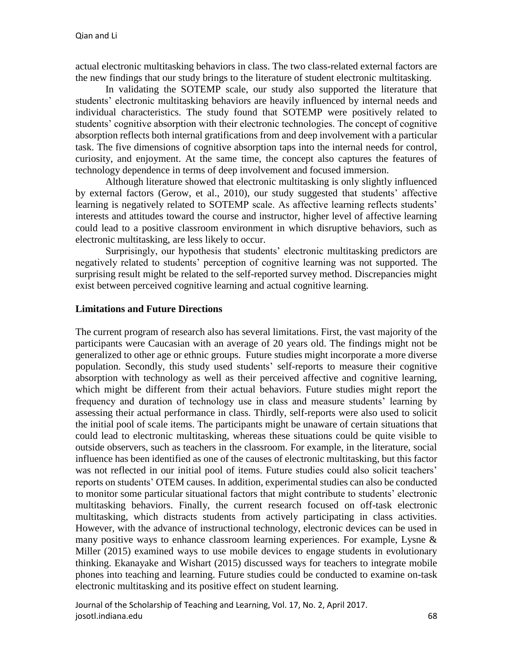actual electronic multitasking behaviors in class. The two class-related external factors are the new findings that our study brings to the literature of student electronic multitasking.

In validating the SOTEMP scale, our study also supported the literature that students' electronic multitasking behaviors are heavily influenced by internal needs and individual characteristics. The study found that SOTEMP were positively related to students' cognitive absorption with their electronic technologies. The concept of cognitive absorption reflects both internal gratifications from and deep involvement with a particular task. The five dimensions of cognitive absorption taps into the internal needs for control, curiosity, and enjoyment. At the same time, the concept also captures the features of technology dependence in terms of deep involvement and focused immersion.

Although literature showed that electronic multitasking is only slightly influenced by external factors (Gerow, et al., 2010), our study suggested that students' affective learning is negatively related to SOTEMP scale. As affective learning reflects students' interests and attitudes toward the course and instructor, higher level of affective learning could lead to a positive classroom environment in which disruptive behaviors, such as electronic multitasking, are less likely to occur.

Surprisingly, our hypothesis that students' electronic multitasking predictors are negatively related to students' perception of cognitive learning was not supported. The surprising result might be related to the self-reported survey method. Discrepancies might exist between perceived cognitive learning and actual cognitive learning.

## **Limitations and Future Directions**

The current program of research also has several limitations. First, the vast majority of the participants were Caucasian with an average of 20 years old. The findings might not be generalized to other age or ethnic groups. Future studies might incorporate a more diverse population. Secondly, this study used students' self-reports to measure their cognitive absorption with technology as well as their perceived affective and cognitive learning, which might be different from their actual behaviors. Future studies might report the frequency and duration of technology use in class and measure students' learning by assessing their actual performance in class. Thirdly, self-reports were also used to solicit the initial pool of scale items. The participants might be unaware of certain situations that could lead to electronic multitasking, whereas these situations could be quite visible to outside observers, such as teachers in the classroom. For example, in the literature, social influence has been identified as one of the causes of electronic multitasking, but this factor was not reflected in our initial pool of items. Future studies could also solicit teachers' reports on students' OTEM causes. In addition, experimental studies can also be conducted to monitor some particular situational factors that might contribute to students' electronic multitasking behaviors. Finally, the current research focused on off-task electronic multitasking, which distracts students from actively participating in class activities. However, with the advance of instructional technology, electronic devices can be used in many positive ways to enhance classroom learning experiences. For example, Lysne & Miller (2015) examined ways to use mobile devices to engage students in evolutionary thinking. Ekanayake and Wishart (2015) discussed ways for teachers to integrate mobile phones into teaching and learning. Future studies could be conducted to examine on-task electronic multitasking and its positive effect on student learning.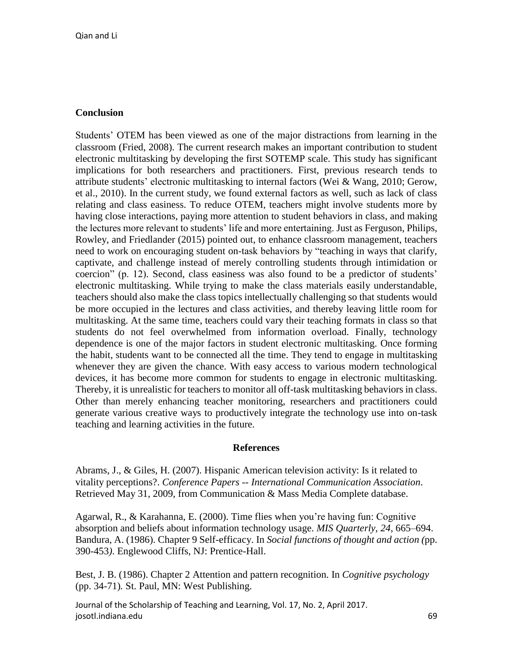## **Conclusion**

Students' OTEM has been viewed as one of the major distractions from learning in the classroom (Fried, 2008). The current research makes an important contribution to student electronic multitasking by developing the first SOTEMP scale. This study has significant implications for both researchers and practitioners. First, previous research tends to attribute students' electronic multitasking to internal factors (Wei & Wang, 2010; Gerow, et al., 2010). In the current study, we found external factors as well, such as lack of class relating and class easiness. To reduce OTEM, teachers might involve students more by having close interactions, paying more attention to student behaviors in class, and making the lectures more relevant to students' life and more entertaining. Just as Ferguson, Philips, Rowley, and Friedlander (2015) pointed out, to enhance classroom management, teachers need to work on encouraging student on-task behaviors by "teaching in ways that clarify, captivate, and challenge instead of merely controlling students through intimidation or coercion" (p. 12). Second, class easiness was also found to be a predictor of students' electronic multitasking. While trying to make the class materials easily understandable, teachers should also make the class topics intellectually challenging so that students would be more occupied in the lectures and class activities, and thereby leaving little room for multitasking. At the same time, teachers could vary their teaching formats in class so that students do not feel overwhelmed from information overload. Finally, technology dependence is one of the major factors in student electronic multitasking. Once forming the habit, students want to be connected all the time. They tend to engage in multitasking whenever they are given the chance. With easy access to various modern technological devices, it has become more common for students to engage in electronic multitasking. Thereby, it is unrealistic for teachers to monitor all off-task multitasking behaviors in class. Other than merely enhancing teacher monitoring, researchers and practitioners could generate various creative ways to productively integrate the technology use into on-task teaching and learning activities in the future.

#### **References**

Abrams, J., & Giles, H. (2007). Hispanic American television activity: Is it related to vitality perceptions?. *Conference Papers -- International Communication Association*. Retrieved May 31, 2009, from Communication & Mass Media Complete database.

Agarwal, R., & Karahanna, E. (2000). Time flies when you're having fun: Cognitive absorption and beliefs about information technology usage. *MIS Quarterly, 24,* 665–694. Bandura, A. (1986). Chapter 9 Self-efficacy. In *Social functions of thought and action (*pp. 390-453*)*. Englewood Cliffs, NJ: Prentice-Hall.

Best, J. B. (1986). Chapter 2 Attention and pattern recognition. In *Cognitive psychology* (pp. 34-71)*.* St. Paul, MN: West Publishing.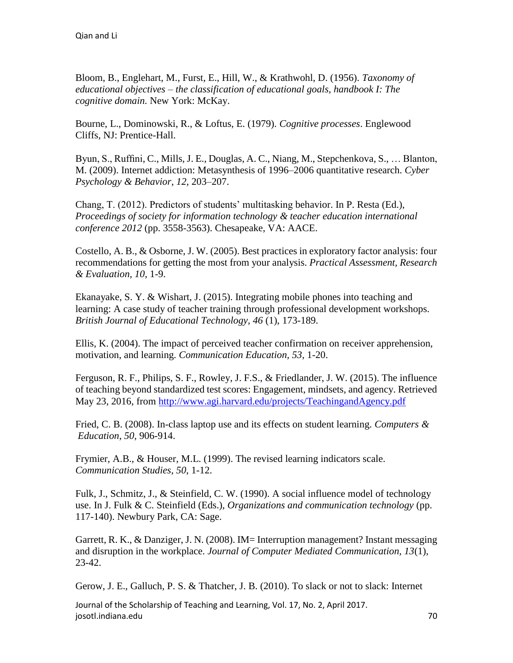Bloom, B., Englehart, M., Furst, E., Hill, W., & Krathwohl, D. (1956). *Taxonomy of educational objectives – the classification of educational goals, handbook I: The cognitive domain.* New York: McKay.

Bourne, L., Dominowski, R., & Loftus, E. (1979). *Cognitive processes*. Englewood Cliffs, NJ: Prentice-Hall.

Byun, S., Ruffini, C., Mills, J. E., Douglas, A. C., Niang, M., Stepchenkova, S., … Blanton, M. (2009). Internet addiction: Metasynthesis of 1996–2006 quantitative research. *Cyber Psychology & Behavior*, *12,* 203–207.

Chang, T. (2012). Predictors of students' multitasking behavior. In P. Resta (Ed.), *Proceedings of society for information technology & teacher education international conference 2012* (pp. 3558-3563). Chesapeake, VA: AACE.

Costello, A. B., & Osborne, J. W. (2005). Best practices in exploratory factor analysis: four recommendations for getting the most from your analysis. *Practical Assessment, Research & Evaluation, 10*, 1-9.

Ekanayake, S. Y. & Wishart, J. (2015). Integrating mobile phones into teaching and learning: A case study of teacher training through professional development workshops. *British Journal of Educational Technology, 46* (1), 173-189.

Ellis, K. (2004). The impact of perceived teacher confirmation on receiver apprehension, motivation, and learning. *Communication Education, 53*, 1-20.

Ferguson, R. F., Philips, S. F., Rowley, J. F.S., & Friedlander, J. W. (2015). The influence of teaching beyond standardized test scores: Engagement, mindsets, and agency. Retrieved May 23, 2016, from<http://www.agi.harvard.edu/projects/TeachingandAgency.pdf>

Fried, C. B. (2008). In-class laptop use and its effects on student learning. *Computers & Education, 50,* 906-914.

Frymier, A.B., & Houser, M.L. (1999). The revised learning indicators scale. *Communication Studies, 50*, 1-12.

Fulk, J., Schmitz, J., & Steinfield, C. W. (1990). A social influence model of technology use. In J. Fulk & C. Steinfield (Eds.), *Organizations and communication technology* (pp. 117-140). Newbury Park, CA: Sage.

Garrett, R. K., & Danziger, J. N. (2008). IM= Interruption management? Instant messaging and disruption in the workplace. *Journal of Computer Mediated Communication, 13*(1), 23-42.

Gerow, J. E., Galluch, P. S. & Thatcher, J. B. (2010). To slack or not to slack: Internet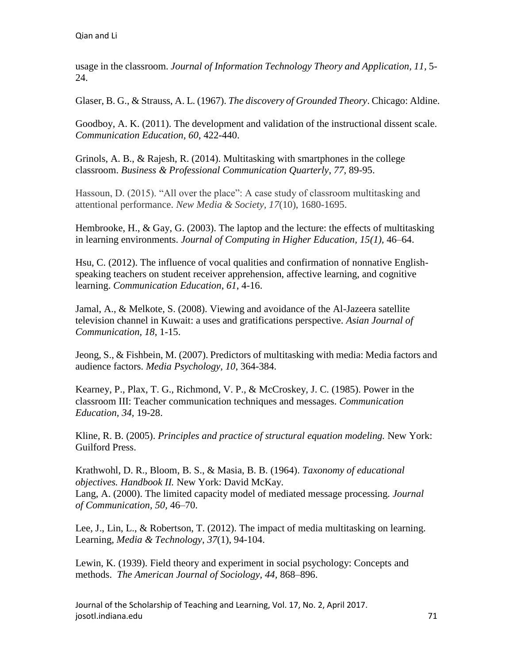usage in the classroom. *Journal of Information Technology Theory and Application, 11,* 5- 24.

Glaser, B. G., & Strauss, A. L. (1967). *The discovery of Grounded Theory*. Chicago: Aldine.

Goodboy, A. K. (2011). The development and validation of the instructional dissent scale. *Communication Education, 60*, 422-440.

Grinols, A. B., & Rajesh, R. (2014). Multitasking with smartphones in the college classroom. *Business & Professional Communication Quarterly*, *77*, 89-95.

Hassoun, D. (2015). "All over the place": A case study of classroom multitasking and attentional performance. *New Media & Society, 17*(10), 1680-1695.

Hembrooke, H., & Gay, G. (2003). The laptop and the lecture: the effects of multitasking in learning environments. *Journal of Computing in Higher Education, 15(1),* 46–64.

Hsu, C. (2012). The influence of vocal qualities and confirmation of nonnative Englishspeaking teachers on student receiver apprehension, affective learning, and cognitive learning. *Communication Education*, *61*, 4-16.

Jamal, A., & Melkote, S. (2008). Viewing and avoidance of the Al-Jazeera satellite television channel in Kuwait: a uses and gratifications perspective. *Asian Journal of Communication, 18*, 1-15.

Jeong, S., & Fishbein, M. (2007). Predictors of multitasking with media: Media factors and audience factors. *Media Psychology, 10,* 364-384.

Kearney, P., Plax, T. G., Richmond, V. P., & McCroskey, J. C. (1985). Power in the classroom III: Teacher communication techniques and messages. *Communication Education, 34,* 19-28.

Kline, R. B. (2005). *Principles and practice of structural equation modeling.* New York: Guilford Press.

Krathwohl, D. R., Bloom, B. S., & Masia, B. B. (1964). *Taxonomy of educational objectives. Handbook II.* New York: David McKay. Lang, A. (2000). The limited capacity model of mediated message processing. *Journal of Communication, 50,* 46–70.

Lee, J., Lin, L., & Robertson, T. (2012). The impact of media multitasking on learning. Learning, *Media & Technology*, *37*(1), 94-104.

Lewin, K. (1939). Field theory and experiment in social psychology: Concepts and methods. *The American Journal of Sociology, 44,* 868–896.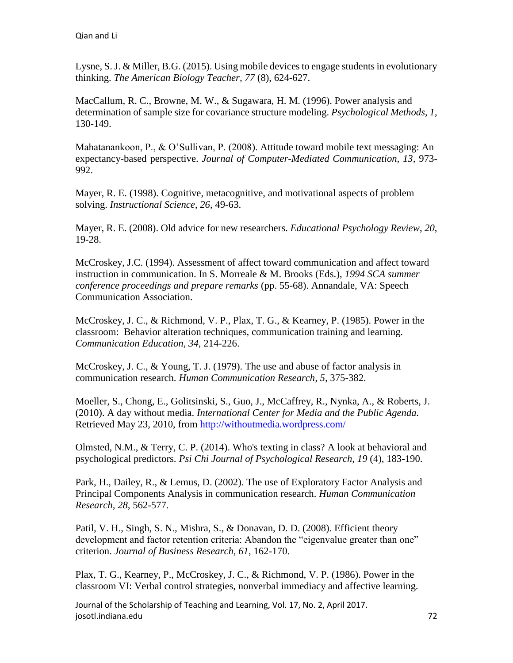Lysne, S. J. & Miller, B.G. (2015). Using mobile devices to engage students in evolutionary thinking. *The American Biology Teacher, 77* (8), 624-627.

MacCallum, R. C., Browne, M. W., & Sugawara, H. M. (1996). Power analysis and determination of sample size for covariance structure modeling. *Psychological Methods, 1*, 130-149.

Mahatanankoon, P., & O'Sullivan, P. (2008). Attitude toward mobile text messaging: An expectancy-based perspective. *Journal of Computer-Mediated Communication, 13,* 973- 992.

Mayer, R. E. (1998). Cognitive, metacognitive, and motivational aspects of problem solving. *Instructional Science*, *26*, 49-63.

Mayer, R. E. (2008). Old advice for new researchers. *Educational Psychology Review*, *20*, 19-28.

McCroskey, J.C. (1994). Assessment of affect toward communication and affect toward instruction in communication. In S. Morreale & M. Brooks (Eds.), *1994 SCA summer conference proceedings and prepare remarks* (pp. 55-68). Annandale, VA: Speech Communication Association.

McCroskey, J. C., & Richmond, V. P., Plax, T. G., & Kearney, P. (1985). Power in the classroom: Behavior alteration techniques, communication training and learning. *Communication Education, 34*, 214-226.

McCroskey, J. C., & Young, T. J. (1979). The use and abuse of factor analysis in communication research. *Human Communication Research, 5*, 375-382.

Moeller, S., Chong, E., Golitsinski, S., Guo, J., McCaffrey, R., Nynka, A., & Roberts, J. (2010). A day without media. *International Center for Media and the Public Agenda.* Retrieved May 23, 2010, from<http://withoutmedia.wordpress.com/>

Olmsted, N.M., & Terry, C. P. (2014). Who's texting in class? A look at behavioral and psychological predictors. *Psi Chi Journal of Psychological Research, 19* (4), 183-190.

Park, H., Dailey, R., & Lemus, D. (2002). The use of Exploratory Factor Analysis and Principal Components Analysis in communication research. *Human Communication Research, 28*, 562-577.

Patil, V. H., Singh, S. N., Mishra, S., & Donavan, D. D. (2008). Efficient theory development and factor retention criteria: Abandon the "eigenvalue greater than one" criterion. *Journal of Business Research, 61*, 162-170.

Plax, T. G., Kearney, P., McCroskey, J. C., & Richmond, V. P. (1986). Power in the classroom VI: Verbal control strategies, nonverbal immediacy and affective learning.